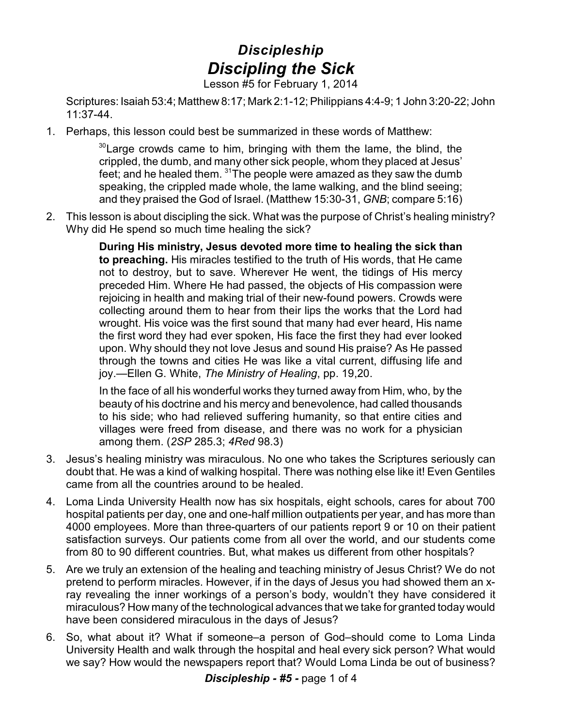## *Discipleship Discipling the Sick*

Lesson #5 for February 1, 2014

Scriptures: Isaiah 53:4; Matthew 8:17; Mark 2:1-12; Philippians 4:4-9; 1 John 3:20-22; John 11:37-44.

1. Perhaps, this lesson could best be summarized in these words of Matthew:

 $30$  Large crowds came to him, bringing with them the lame, the blind, the crippled, the dumb, and many other sick people, whom they placed at Jesus' feet; and he healed them.  $^{\rm 31}$ The people were amazed as they saw the dumb speaking, the crippled made whole, the lame walking, and the blind seeing; and they praised the God of Israel. (Matthew 15:30-31, *GNB*; compare 5:16)

2. This lesson is about discipling the sick. What was the purpose of Christ's healing ministry? Why did He spend so much time healing the sick?

> **During His ministry, Jesus devoted more time to healing the sick than to preaching.** His miracles testified to the truth of His words, that He came not to destroy, but to save. Wherever He went, the tidings of His mercy preceded Him. Where He had passed, the objects of His compassion were rejoicing in health and making trial of their new-found powers. Crowds were collecting around them to hear from their lips the works that the Lord had wrought. His voice was the first sound that many had ever heard, His name the first word they had ever spoken, His face the first they had ever looked upon. Why should they not love Jesus and sound His praise? As He passed through the towns and cities He was like a vital current, diffusing life and joy.—Ellen G. White, *The Ministry of Healing*, pp. 19,20.

> In the face of all his wonderful works they turned away from Him, who, by the beauty of his doctrine and his mercy and benevolence, had called thousands to his side; who had relieved suffering humanity, so that entire cities and villages were freed from disease, and there was no work for a physician among them. (*2SP* 285.3; *4Red* 98.3)

- 3. Jesus's healing ministry was miraculous. No one who takes the Scriptures seriously can doubt that. He was a kind of walking hospital. There was nothing else like it! Even Gentiles came from all the countries around to be healed.
- 4. Loma Linda University Health now has six hospitals, eight schools, cares for about 700 hospital patients per day, one and one-half million outpatients per year, and has more than 4000 employees. More than three-quarters of our patients report 9 or 10 on their patient satisfaction surveys. Our patients come from all over the world, and our students come from 80 to 90 different countries. But, what makes us different from other hospitals?
- 5. Are we truly an extension of the healing and teaching ministry of Jesus Christ? We do not pretend to perform miracles. However, if in the days of Jesus you had showed them an xray revealing the inner workings of a person's body, wouldn't they have considered it miraculous? How many of the technological advances that we take for granted today would have been considered miraculous in the days of Jesus?
- 6. So, what about it? What if someone–a person of God–should come to Loma Linda University Health and walk through the hospital and heal every sick person? What would we say? How would the newspapers report that? Would Loma Linda be out of business?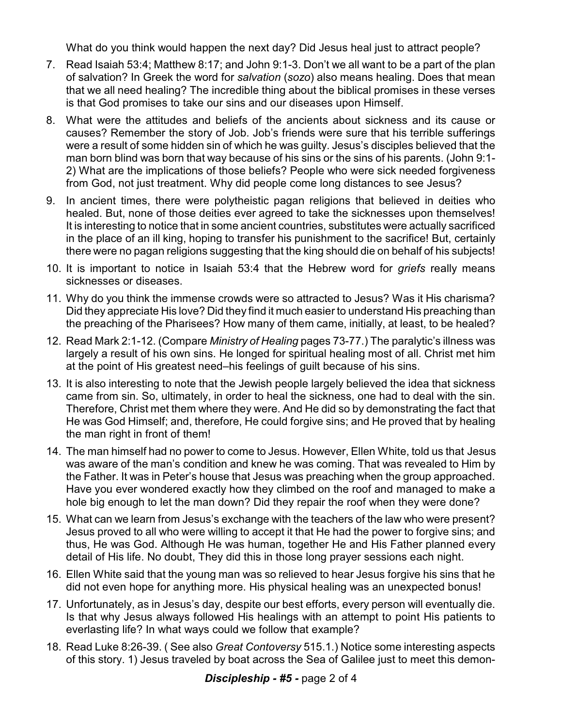What do you think would happen the next day? Did Jesus heal just to attract people?

- 7. Read Isaiah 53:4; Matthew 8:17; and John 9:1-3. Don't we all want to be a part of the plan of salvation? In Greek the word for *salvation* (*sozo*) also means healing. Does that mean that we all need healing? The incredible thing about the biblical promises in these verses is that God promises to take our sins and our diseases upon Himself.
- 8. What were the attitudes and beliefs of the ancients about sickness and its cause or causes? Remember the story of Job. Job's friends were sure that his terrible sufferings were a result of some hidden sin of which he was guilty. Jesus's disciples believed that the man born blind was born that way because of his sins or the sins of his parents. (John 9:1- 2) What are the implications of those beliefs? People who were sick needed forgiveness from God, not just treatment. Why did people come long distances to see Jesus?
- 9. In ancient times, there were polytheistic pagan religions that believed in deities who healed. But, none of those deities ever agreed to take the sicknesses upon themselves! It is interesting to notice that in some ancient countries, substitutes were actually sacrificed in the place of an ill king, hoping to transfer his punishment to the sacrifice! But, certainly there were no pagan religions suggesting that the king should die on behalf of his subjects!
- 10. It is important to notice in Isaiah 53:4 that the Hebrew word for *griefs* really means sicknesses or diseases.
- 11. Why do you think the immense crowds were so attracted to Jesus? Was it His charisma? Did they appreciate His love? Did they find it much easier to understand His preaching than the preaching of the Pharisees? How many of them came, initially, at least, to be healed?
- 12. Read Mark 2:1-12. (Compare *Ministry of Healing* pages 73-77.) The paralytic's illness was largely a result of his own sins. He longed for spiritual healing most of all. Christ met him at the point of His greatest need–his feelings of guilt because of his sins.
- 13. It is also interesting to note that the Jewish people largely believed the idea that sickness came from sin. So, ultimately, in order to heal the sickness, one had to deal with the sin. Therefore, Christ met them where they were. And He did so by demonstrating the fact that He was God Himself; and, therefore, He could forgive sins; and He proved that by healing the man right in front of them!
- 14. The man himself had no power to come to Jesus. However, Ellen White, told us that Jesus was aware of the man's condition and knew he was coming. That was revealed to Him by the Father. It was in Peter's house that Jesus was preaching when the group approached. Have you ever wondered exactly how they climbed on the roof and managed to make a hole big enough to let the man down? Did they repair the roof when they were done?
- 15. What can we learn from Jesus's exchange with the teachers of the law who were present? Jesus proved to all who were willing to accept it that He had the power to forgive sins; and thus, He was God. Although He was human, together He and His Father planned every detail of His life. No doubt, They did this in those long prayer sessions each night.
- 16. Ellen White said that the young man was so relieved to hear Jesus forgive his sins that he did not even hope for anything more. His physical healing was an unexpected bonus!
- 17. Unfortunately, as in Jesus's day, despite our best efforts, every person will eventually die. Is that why Jesus always followed His healings with an attempt to point His patients to everlasting life? In what ways could we follow that example?
- 18. Read Luke 8:26-39. ( See also *Great Contoversy* 515.1.) Notice some interesting aspects of this story. 1) Jesus traveled by boat across the Sea of Galilee just to meet this demon-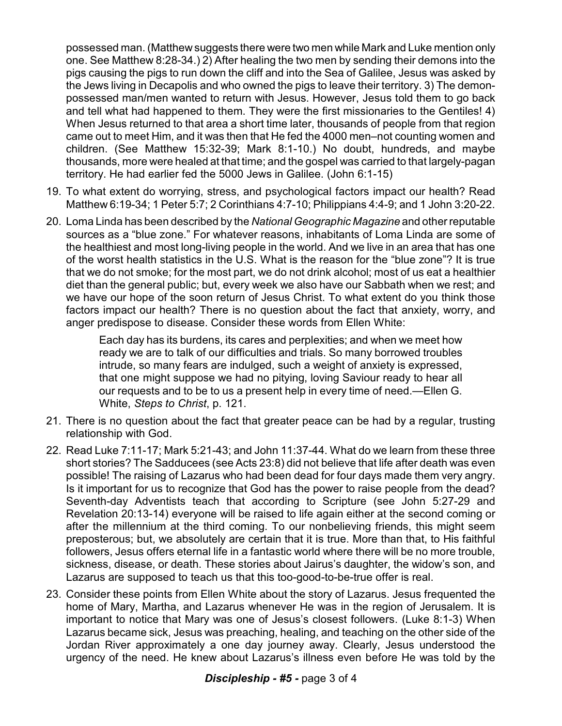possessed man. (Matthew suggests there were two men while Mark and Luke mention only one. See Matthew 8:28-34.) 2) After healing the two men by sending their demons into the pigs causing the pigs to run down the cliff and into the Sea of Galilee, Jesus was asked by the Jews living in Decapolis and who owned the pigs to leave their territory. 3) The demonpossessed man/men wanted to return with Jesus. However, Jesus told them to go back and tell what had happened to them. They were the first missionaries to the Gentiles! 4) When Jesus returned to that area a short time later, thousands of people from that region came out to meet Him, and it was then that He fed the 4000 men–not counting women and children. (See Matthew 15:32-39; Mark 8:1-10.) No doubt, hundreds, and maybe thousands, more were healed at that time; and the gospel was carried to that largely-pagan territory. He had earlier fed the 5000 Jews in Galilee. (John 6:1-15)

- 19. To what extent do worrying, stress, and psychological factors impact our health? Read Matthew 6:19-34; 1 Peter 5:7; 2 Corinthians 4:7-10; Philippians 4:4-9; and 1 John 3:20-22.
- 20. Loma Linda has been described by the *National Geographic Magazine* and other reputable sources as a "blue zone." For whatever reasons, inhabitants of Loma Linda are some of the healthiest and most long-living people in the world. And we live in an area that has one of the worst health statistics in the U.S. What is the reason for the "blue zone"? It is true that we do not smoke; for the most part, we do not drink alcohol; most of us eat a healthier diet than the general public; but, every week we also have our Sabbath when we rest; and we have our hope of the soon return of Jesus Christ. To what extent do you think those factors impact our health? There is no question about the fact that anxiety, worry, and anger predispose to disease. Consider these words from Ellen White:

Each day has its burdens, its cares and perplexities; and when we meet how ready we are to talk of our difficulties and trials. So many borrowed troubles intrude, so many fears are indulged, such a weight of anxiety is expressed, that one might suppose we had no pitying, loving Saviour ready to hear all our requests and to be to us a present help in every time of need.—Ellen G. White, *Steps to Christ*, p. 121.

- 21. There is no question about the fact that greater peace can be had by a regular, trusting relationship with God.
- 22. Read Luke 7:11-17; Mark 5:21-43; and John 11:37-44. What do we learn from these three short stories? The Sadducees (see Acts 23:8) did not believe that life after death was even possible! The raising of Lazarus who had been dead for four days made them very angry. Is it important for us to recognize that God has the power to raise people from the dead? Seventh-day Adventists teach that according to Scripture (see John 5:27-29 and Revelation 20:13-14) everyone will be raised to life again either at the second coming or after the millennium at the third coming. To our nonbelieving friends, this might seem preposterous; but, we absolutely are certain that it is true. More than that, to His faithful followers, Jesus offers eternal life in a fantastic world where there will be no more trouble, sickness, disease, or death. These stories about Jairus's daughter, the widow's son, and Lazarus are supposed to teach us that this too-good-to-be-true offer is real.
- 23. Consider these points from Ellen White about the story of Lazarus. Jesus frequented the home of Mary, Martha, and Lazarus whenever He was in the region of Jerusalem. It is important to notice that Mary was one of Jesus's closest followers. (Luke 8:1-3) When Lazarus became sick, Jesus was preaching, healing, and teaching on the other side of the Jordan River approximately a one day journey away. Clearly, Jesus understood the urgency of the need. He knew about Lazarus's illness even before He was told by the